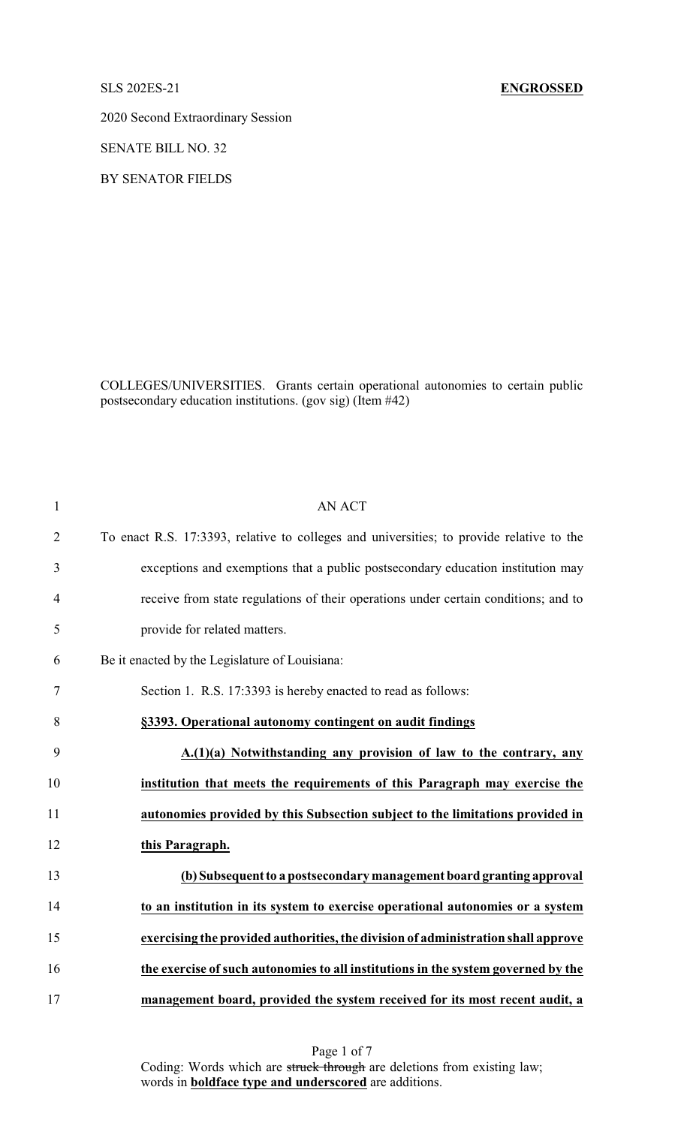2020 Second Extraordinary Session

SENATE BILL NO. 32

BY SENATOR FIELDS

COLLEGES/UNIVERSITIES. Grants certain operational autonomies to certain public postsecondary education institutions. (gov sig) (Item #42)

| $\mathbf{1}$   | <b>AN ACT</b>                                                                            |
|----------------|------------------------------------------------------------------------------------------|
| $\overline{2}$ | To enact R.S. 17:3393, relative to colleges and universities; to provide relative to the |
| 3              | exceptions and exemptions that a public postsecondary education institution may          |
| 4              | receive from state regulations of their operations under certain conditions; and to      |
| 5              | provide for related matters.                                                             |
| 6              | Be it enacted by the Legislature of Louisiana:                                           |
| 7              | Section 1. R.S. 17:3393 is hereby enacted to read as follows:                            |
| 8              | §3393. Operational autonomy contingent on audit findings                                 |
| 9              | A.(1)(a) Notwithstanding any provision of law to the contrary, any                       |
| 10             | institution that meets the requirements of this Paragraph may exercise the               |
| 11             | autonomies provided by this Subsection subject to the limitations provided in            |
| 12             | this Paragraph.                                                                          |
| 13             | (b) Subsequent to a postsecondary management board granting approval                     |
| 14             | to an institution in its system to exercise operational autonomies or a system           |
| 15             | exercising the provided authorities, the division of administration shall approve        |
| 16             | the exercise of such autonomies to all institutions in the system governed by the        |
| 17             | management board, provided the system received for its most recent audit, a              |

Page 1 of 7 Coding: Words which are struck through are deletions from existing law; words in **boldface type and underscored** are additions.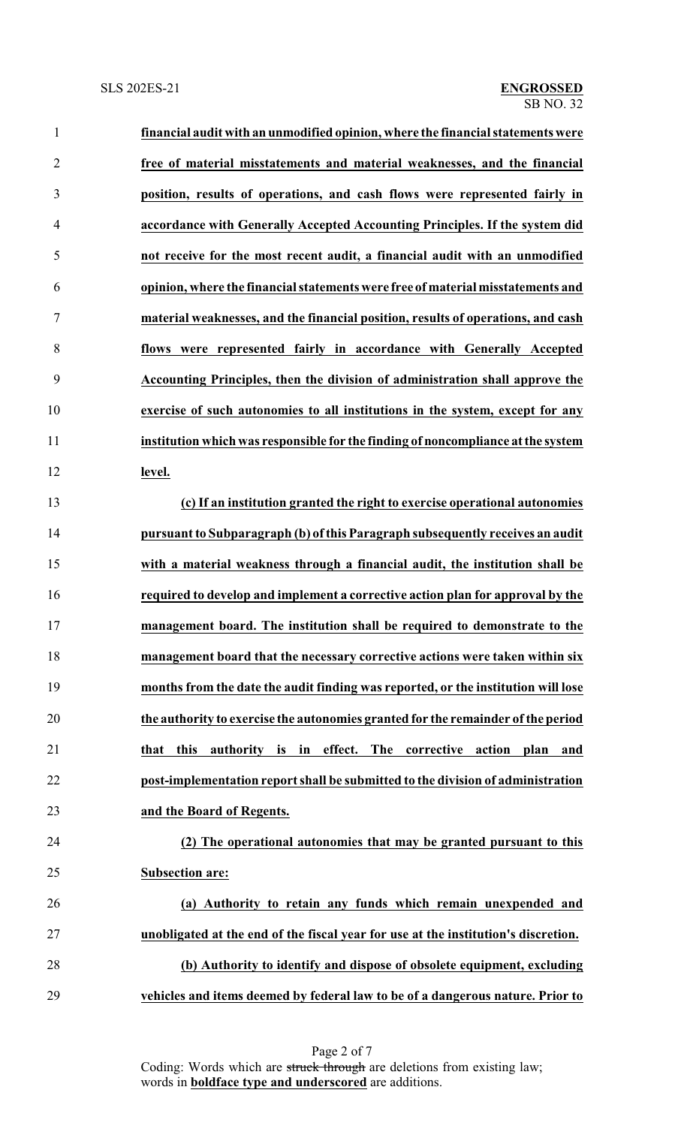| $\mathbf{1}$   | financial audit with an unmodified opinion, where the financial statements were          |
|----------------|------------------------------------------------------------------------------------------|
| $\overline{2}$ | free of material misstatements and material weaknesses, and the financial                |
| 3              | position, results of operations, and cash flows were represented fairly in               |
| 4              | accordance with Generally Accepted Accounting Principles. If the system did              |
| 5              | not receive for the most recent audit, a financial audit with an unmodified              |
| 6              | opinion, where the financial statements were free of material misstatements and          |
| 7              | material weaknesses, and the financial position, results of operations, and cash         |
| 8              | flows were represented fairly in accordance with Generally Accepted                      |
| 9              | Accounting Principles, then the division of administration shall approve the             |
| 10             | exercise of such autonomies to all institutions in the system, except for any            |
| 11             | institution which was responsible for the finding of noncompliance at the system         |
| 12             | level.                                                                                   |
| 13             | (c) If an institution granted the right to exercise operational autonomies               |
| 14             | pursuant to Subparagraph (b) of this Paragraph subsequently receives an audit            |
| 15             | with a material weakness through a financial audit, the institution shall be             |
| 16             | required to develop and implement a corrective action plan for approval by the           |
| 17             | management board. The institution shall be required to demonstrate to the                |
| 18             | management board that the necessary corrective actions were taken within six             |
| 19             | months from the date the audit finding was reported, or the institution will lose        |
| 20             | the authority to exercise the autonomies granted for the remainder of the period         |
| 21             | effect.<br>corrective<br>this<br>authority is in<br>The<br>action<br>plan<br>that<br>and |
| 22             | post-implementation report shall be submitted to the division of administration          |
| 23             | and the Board of Regents.                                                                |
| 24             | (2) The operational autonomies that may be granted pursuant to this                      |
| 25             | <b>Subsection are:</b>                                                                   |
| 26             | (a) Authority to retain any funds which remain unexpended and                            |
| 27             | unobligated at the end of the fiscal year for use at the institution's discretion.       |
| 28             | (b) Authority to identify and dispose of obsolete equipment, excluding                   |
|                |                                                                                          |

**vehicles and items deemed by federal law to be of a dangerous nature. Prior to**

Page 2 of 7 Coding: Words which are struck through are deletions from existing law; words in **boldface type and underscored** are additions.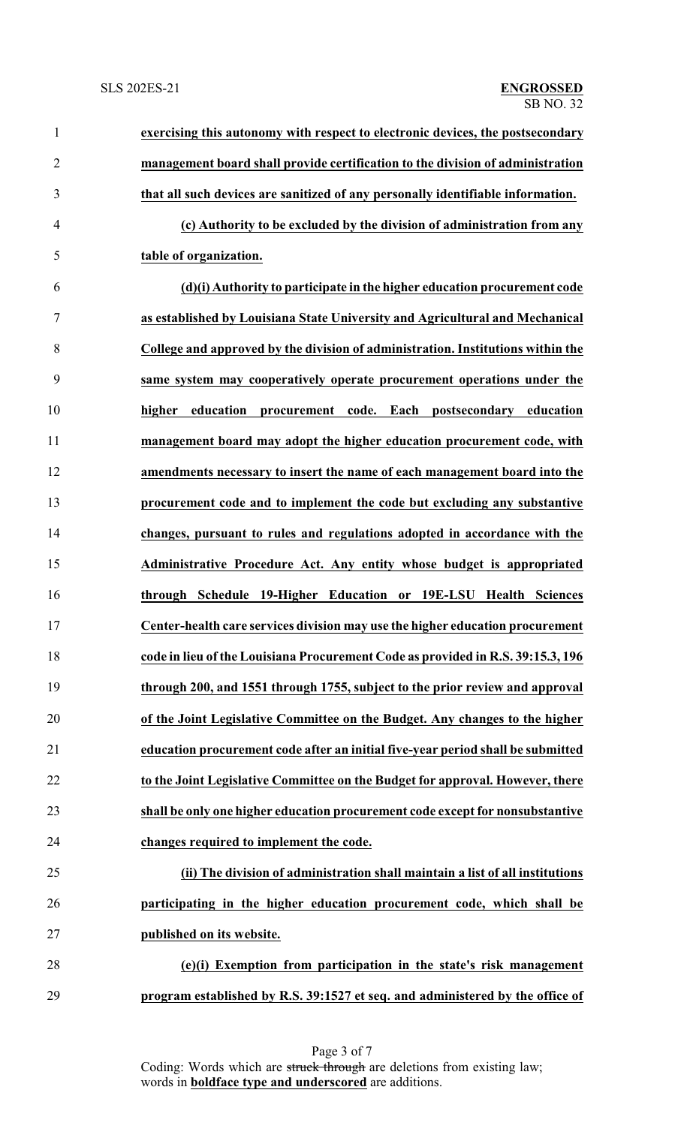| $\mathbf{1}$   | exercising this autonomy with respect to electronic devices, the postsecondary  |
|----------------|---------------------------------------------------------------------------------|
| $\overline{2}$ | management board shall provide certification to the division of administration  |
| 3              | that all such devices are sanitized of any personally identifiable information. |
| 4              | (c) Authority to be excluded by the division of administration from any         |
| 5              | table of organization.                                                          |
| 6              | (d)(i) Authority to participate in the higher education procurement code        |
| 7              | as established by Louisiana State University and Agricultural and Mechanical    |
| 8              | College and approved by the division of administration. Institutions within the |
| 9              | same system may cooperatively operate procurement operations under the          |
| 10             | higher education<br>procurement code. Each postsecondary education              |
| 11             | management board may adopt the higher education procurement code, with          |
| 12             | amendments necessary to insert the name of each management board into the       |
| 13             | procurement code and to implement the code but excluding any substantive        |
| 14             | changes, pursuant to rules and regulations adopted in accordance with the       |
| 15             | Administrative Procedure Act. Any entity whose budget is appropriated           |
| 16             | through Schedule 19-Higher Education or 19E-LSU Health<br><b>Sciences</b>       |
| 17             | Center-health care services division may use the higher education procurement   |
| 18             | code in lieu of the Louisiana Procurement Code as provided in R.S. 39:15.3, 196 |
| 19             | through 200, and 1551 through 1755, subject to the prior review and approval    |
| 20             | of the Joint Legislative Committee on the Budget. Any changes to the higher     |
| 21             | education procurement code after an initial five-year period shall be submitted |
| 22             | to the Joint Legislative Committee on the Budget for approval. However, there   |
| 23             | shall be only one higher education procurement code except for nonsubstantive   |
| 24             | changes required to implement the code.                                         |
| 25             | (ii) The division of administration shall maintain a list of all institutions   |
| 26             | participating in the higher education procurement code, which shall be          |
| 27             | published on its website.                                                       |
| 28             | (e)(i) Exemption from participation in the state's risk management              |
| 29             | program established by R.S. 39:1527 et seq. and administered by the office of   |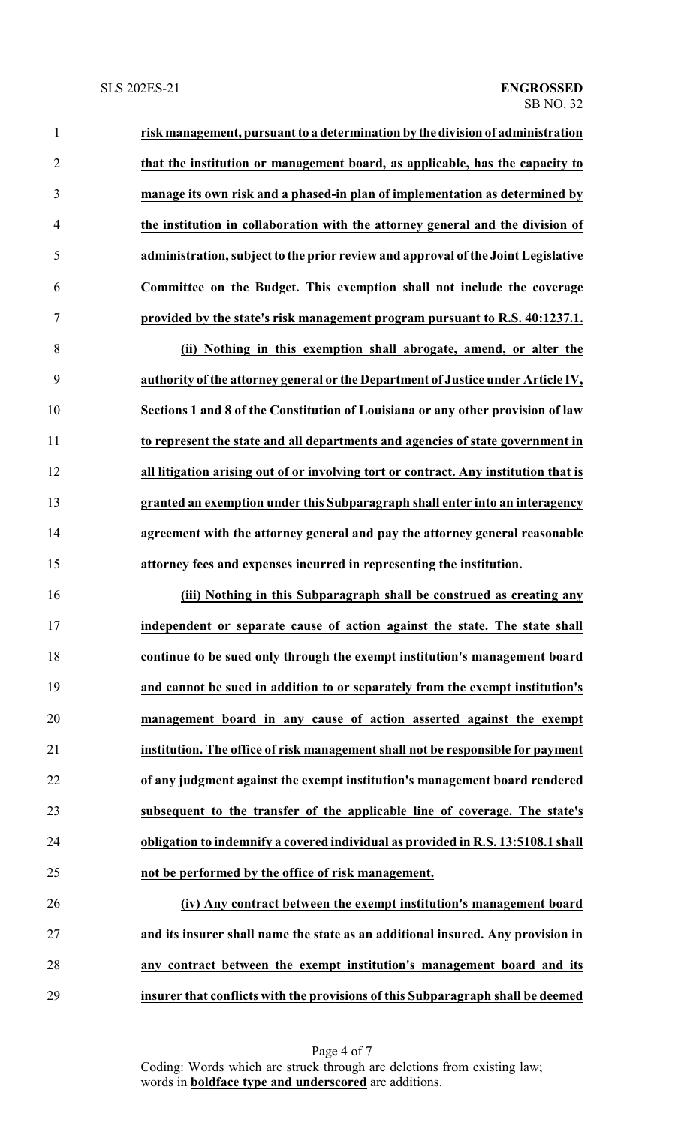**risk management, pursuant to a determination by thedivision of administration that the institution or management board, as applicable, has the capacity to manage its own risk and a phased-in plan of implementation as determined by the institution in collaboration with the attorney general and the division of administration, subject to the prior review and approval of the Joint Legislative Committee on the Budget. This exemption shall not include the coverage provided by the state's risk management program pursuant to R.S. 40:1237.1. (ii) Nothing in this exemption shall abrogate, amend, or alter the authority of the attorney general or the Department of Justice under Article IV, Sections 1 and 8 of the Constitution of Louisiana or any other provision of law**

 **to represent the state and all departments and agencies of state government in all litigation arising out of or involving tort or contract. Any institution that is granted an exemption under this Subparagraph shall enter into an interagency agreement with the attorney general and pay the attorney general reasonable attorney fees and expenses incurred in representing the institution.**

 **(iii) Nothing in this Subparagraph shall be construed as creating any independent or separate cause of action against the state. The state shall continue to be sued only through the exempt institution's management board and cannot be sued in addition to or separately from the exempt institution's management board in any cause of action asserted against the exempt institution. The office of risk management shall not be responsible for payment of any judgment against the exempt institution's management board rendered subsequent to the transfer of the applicable line of coverage. The state's obligation to indemnify a covered individual as provided in R.S. 13:5108.1 shall not be performed by the office of risk management.**

 **(iv) Any contract between the exempt institution's management board and its insurer shall name the state as an additional insured. Any provision in any contract between the exempt institution's management board and its insurer that conflicts with the provisions of this Subparagraph shall be deemed**

> Page 4 of 7 Coding: Words which are struck through are deletions from existing law; words in **boldface type and underscored** are additions.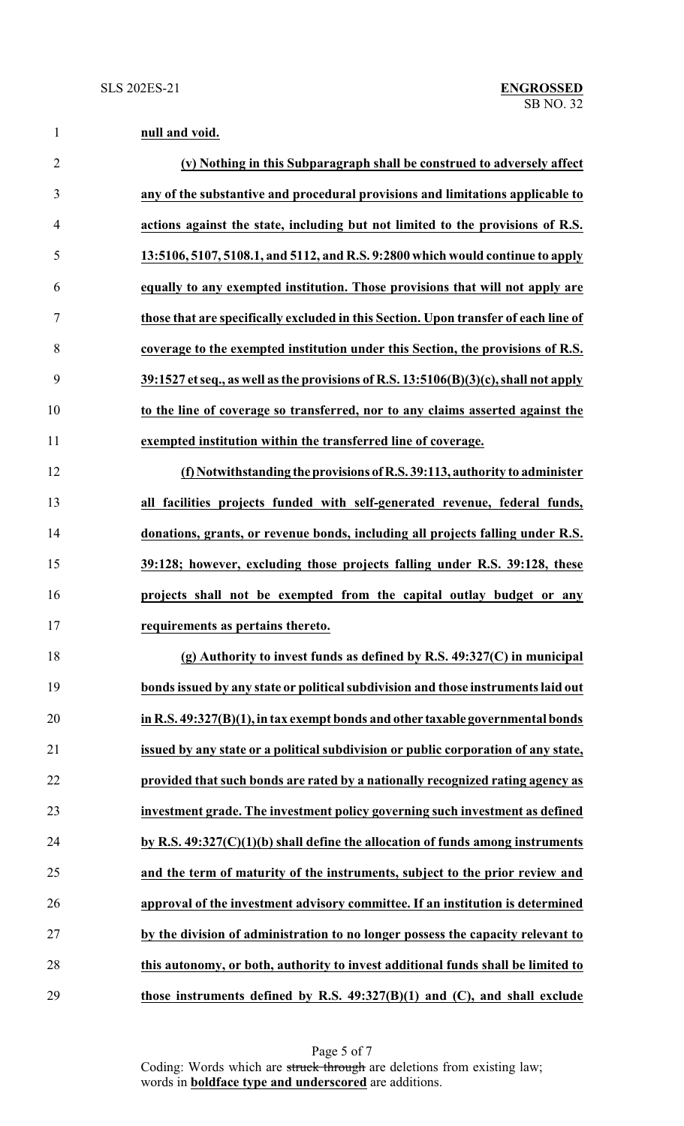| $\mathbf{1}$   | null and void.                                                                            |
|----------------|-------------------------------------------------------------------------------------------|
| $\overline{2}$ | (v) Nothing in this Subparagraph shall be construed to adversely affect                   |
| 3              | any of the substantive and procedural provisions and limitations applicable to            |
| $\overline{4}$ | actions against the state, including but not limited to the provisions of R.S.            |
| 5              | 13:5106, 5107, 5108.1, and 5112, and R.S. 9:2800 which would continue to apply            |
| 6              | equally to any exempted institution. Those provisions that will not apply are             |
| 7              | those that are specifically excluded in this Section. Upon transfer of each line of       |
| 8              | coverage to the exempted institution under this Section, the provisions of R.S.           |
| 9              | $39:1527$ et seq., as well as the provisions of R.S. $13:5106(B)(3)(c)$ , shall not apply |
| 10             | to the line of coverage so transferred, nor to any claims asserted against the            |
| 11             | exempted institution within the transferred line of coverage.                             |
| 12             | (f) Notwithstanding the provisions of R.S. 39:113, authority to administer                |
| 13             | all facilities projects funded with self-generated revenue, federal funds,                |
| 14             | donations, grants, or revenue bonds, including all projects falling under R.S.            |
| 15             | 39:128; however, excluding those projects falling under R.S. 39:128, these                |
| 16             | projects shall not be exempted from the capital outlay budget or any                      |
| 17             | requirements as pertains thereto.                                                         |
| 18             | (g) Authority to invest funds as defined by R.S. $49:327(C)$ in municipal                 |
| 19             | bonds issued by any state or political subdivision and those instruments laid out         |
| 20             | in R.S. 49:327(B)(1), in tax exempt bonds and other taxable governmental bonds            |
| 21             | issued by any state or a political subdivision or public corporation of any state,        |
| 22             | provided that such bonds are rated by a nationally recognized rating agency as            |
| 23             | investment grade. The investment policy governing such investment as defined              |
| 24             | by R.S. $49:327(C)(1)(b)$ shall define the allocation of funds among instruments          |
| 25             | and the term of maturity of the instruments, subject to the prior review and              |
| 26             | approval of the investment advisory committee. If an institution is determined            |
| 27             | by the division of administration to no longer possess the capacity relevant to           |

**those instruments defined by R.S. 49:327(B)(1) and (C), and shall exclude**

**this autonomy, or both, authority to invest additional funds shall be limited to**

Page 5 of 7 Coding: Words which are struck through are deletions from existing law; words in **boldface type and underscored** are additions.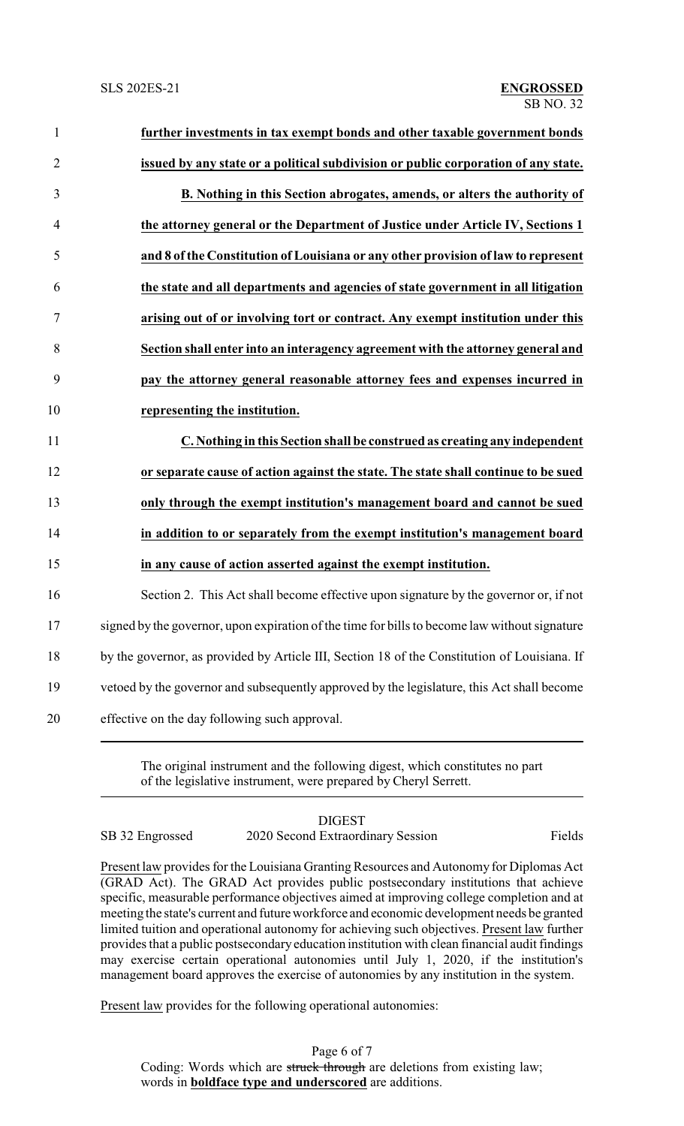| $\mathbf{1}$   | further investments in tax exempt bonds and other taxable government bonds                    |
|----------------|-----------------------------------------------------------------------------------------------|
| $\overline{2}$ | issued by any state or a political subdivision or public corporation of any state.            |
| 3              | B. Nothing in this Section abrogates, amends, or alters the authority of                      |
| $\overline{4}$ | the attorney general or the Department of Justice under Article IV, Sections 1                |
| 5              | and 8 of the Constitution of Louisiana or any other provision of law to represent             |
| 6              | the state and all departments and agencies of state government in all litigation              |
| 7              | arising out of or involving tort or contract. Any exempt institution under this               |
| 8              | Section shall enter into an interagency agreement with the attorney general and               |
| 9              | pay the attorney general reasonable attorney fees and expenses incurred in                    |
| 10             | representing the institution.                                                                 |
| 11             | C. Nothing in this Section shall be construed as creating any independent                     |
| 12             | or separate cause of action against the state. The state shall continue to be sued            |
| 13             | only through the exempt institution's management board and cannot be sued                     |
| 14             | in addition to or separately from the exempt institution's management board                   |
| 15             | in any cause of action asserted against the exempt institution.                               |
| 16             | Section 2. This Act shall become effective upon signature by the governor or, if not          |
| 17             | signed by the governor, upon expiration of the time for bills to become law without signature |
| 18             | by the governor, as provided by Article III, Section 18 of the Constitution of Louisiana. If  |
| 19             | vetoed by the governor and subsequently approved by the legislature, this Act shall become    |
| 20             | effective on the day following such approval.                                                 |

The original instrument and the following digest, which constitutes no part of the legislative instrument, were prepared by Cheryl Serrett.

## DIGEST SB 32 Engrossed 2020 Second Extraordinary Session Fields

Present law provides for the Louisiana Granting Resources and Autonomy for Diplomas Act (GRAD Act). The GRAD Act provides public postsecondary institutions that achieve specific, measurable performance objectives aimed at improving college completion and at meeting the state's current and futureworkforce and economic development needs be granted limited tuition and operational autonomy for achieving such objectives. Present law further provides that a public postsecondary education institution with clean financial audit findings may exercise certain operational autonomies until July 1, 2020, if the institution's management board approves the exercise of autonomies by any institution in the system.

Present law provides for the following operational autonomies:

Page 6 of 7 Coding: Words which are struck through are deletions from existing law; words in **boldface type and underscored** are additions.